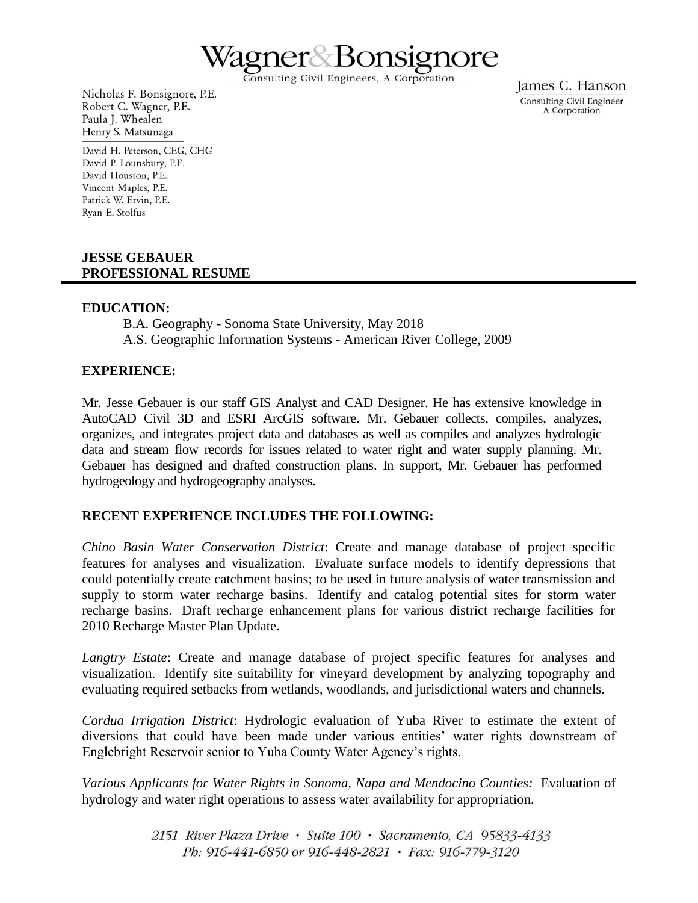

Consulting Civil Engineers, A Corporation

Nicholas F. Bonsignore, P.E. Robert C. Wagner, P.E. Paula J. Whealen Henry S. Matsunaga

David H. Peterson, CEG, CHG David P. Lounsbury, P.E. David Houston, P.E. Vincent Maples, P.E. Patrick W. Ervin, P.E. Ryan E. Stolfus

## **JESSE GEBAUER PROFESSIONAL RESUME**

### **EDUCATION:**

B.A. Geography - Sonoma State University, May 2018 A.S. Geographic Information Systems - American River College, 2009

## **EXPERIENCE:**

Mr. Jesse Gebauer is our staff GIS Analyst and CAD Designer. He has extensive knowledge in AutoCAD Civil 3D and ESRI ArcGIS software. Mr. Gebauer collects, compiles, analyzes, organizes, and integrates project data and databases as well as compiles and analyzes hydrologic data and stream flow records for issues related to water right and water supply planning. Mr. Gebauer has designed and drafted construction plans. In support, Mr. Gebauer has performed hydrogeology and hydrogeography analyses.

### **RECENT EXPERIENCE INCLUDES THE FOLLOWING:**

*Chino Basin Water Conservation District*: Create and manage database of project specific features for analyses and visualization. Evaluate surface models to identify depressions that could potentially create catchment basins; to be used in future analysis of water transmission and supply to storm water recharge basins. Identify and catalog potential sites for storm water recharge basins. Draft recharge enhancement plans for various district recharge facilities for 2010 Recharge Master Plan Update.

*Langtry Estate*: Create and manage database of project specific features for analyses and visualization. Identify site suitability for vineyard development by analyzing topography and evaluating required setbacks from wetlands, woodlands, and jurisdictional waters and channels.

*Cordua Irrigation District*: Hydrologic evaluation of Yuba River to estimate the extent of diversions that could have been made under various entities' water rights downstream of Englebright Reservoir senior to Yuba County Water Agency's rights.

*Various Applicants for Water Rights in Sonoma, Napa and Mendocino Counties:* Evaluation of hydrology and water right operations to assess water availability for appropriation.

> 2151 River Plaza Drive · Suite 100 · Sacramento, CA 95833-4133 Ph: 916-441-6850 or 916-448-2821 • Fax: 916-779-3120

James C. Hanson Consulting Civil Engineer A Corporation